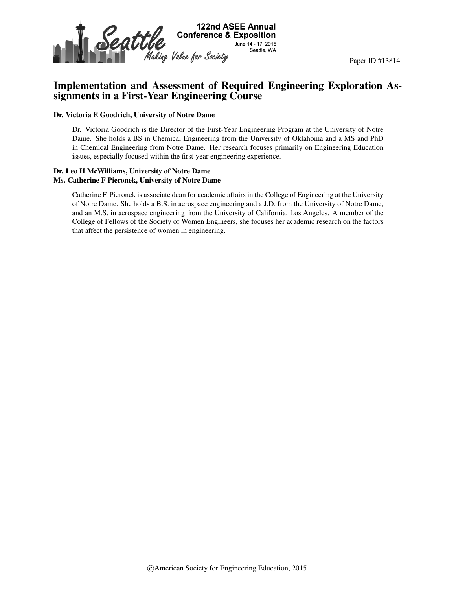

# Implementation and Assessment of Required Engineering Exploration Assignments in a First-Year Engineering Course

#### Dr. Victoria E Goodrich, University of Notre Dame

Dr. Victoria Goodrich is the Director of the First-Year Engineering Program at the University of Notre Dame. She holds a BS in Chemical Engineering from the University of Oklahoma and a MS and PhD in Chemical Engineering from Notre Dame. Her research focuses primarily on Engineering Education issues, especially focused within the first-year engineering experience.

#### Dr. Leo H McWilliams, University of Notre Dame Ms. Catherine F Pieronek, University of Notre Dame

Catherine F. Pieronek is associate dean for academic affairs in the College of Engineering at the University of Notre Dame. She holds a B.S. in aerospace engineering and a J.D. from the University of Notre Dame, and an M.S. in aerospace engineering from the University of California, Los Angeles. A member of the College of Fellows of the Society of Women Engineers, she focuses her academic research on the factors that affect the persistence of women in engineering.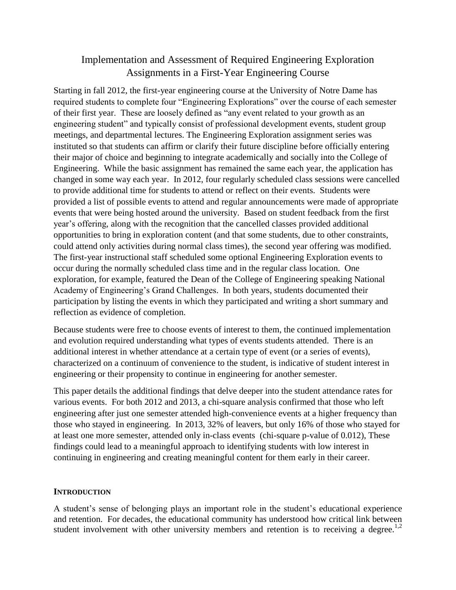# Implementation and Assessment of Required Engineering Exploration Assignments in a First-Year Engineering Course

Starting in fall 2012, the first-year engineering course at the University of Notre Dame has required students to complete four "Engineering Explorations" over the course of each semester of their first year. These are loosely defined as "any event related to your growth as an engineering student" and typically consist of professional development events, student group meetings, and departmental lectures. The Engineering Exploration assignment series was instituted so that students can affirm or clarify their future discipline before officially entering their major of choice and beginning to integrate academically and socially into the College of Engineering. While the basic assignment has remained the same each year, the application has changed in some way each year. In 2012, four regularly scheduled class sessions were cancelled to provide additional time for students to attend or reflect on their events. Students were provided a list of possible events to attend and regular announcements were made of appropriate events that were being hosted around the university. Based on student feedback from the first year's offering, along with the recognition that the cancelled classes provided additional opportunities to bring in exploration content (and that some students, due to other constraints, could attend only activities during normal class times), the second year offering was modified. The first-year instructional staff scheduled some optional Engineering Exploration events to occur during the normally scheduled class time and in the regular class location. One exploration, for example, featured the Dean of the College of Engineering speaking National Academy of Engineering's Grand Challenges. In both years, students documented their participation by listing the events in which they participated and writing a short summary and reflection as evidence of completion.

Because students were free to choose events of interest to them, the continued implementation and evolution required understanding what types of events students attended. There is an additional interest in whether attendance at a certain type of event (or a series of events), characterized on a continuum of convenience to the student, is indicative of student interest in engineering or their propensity to continue in engineering for another semester.

This paper details the additional findings that delve deeper into the student attendance rates for various events. For both 2012 and 2013, a chi-square analysis confirmed that those who left engineering after just one semester attended high-convenience events at a higher frequency than those who stayed in engineering. In 2013, 32% of leavers, but only 16% of those who stayed for at least one more semester, attended only in-class events (chi-square p-value of 0.012), These findings could lead to a meaningful approach to identifying students with low interest in continuing in engineering and creating meaningful content for them early in their career.

## **INTRODUCTION**

A student's sense of belonging plays an important role in the student's educational experience and retention. For decades, the educational community has understood how critical link between student involvement with other university members and retention is to receiving a degree.<sup>1,2</sup>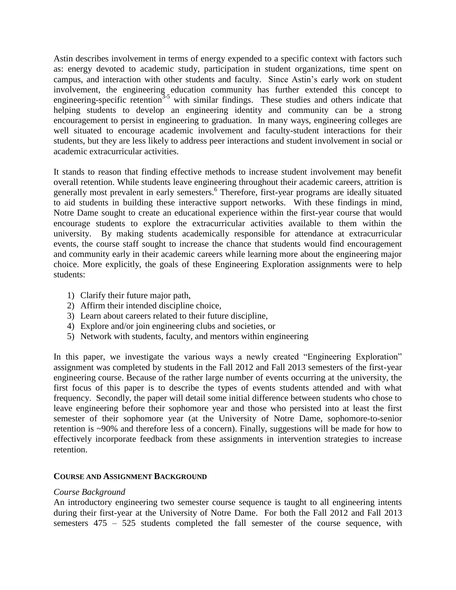Astin describes involvement in terms of energy expended to a specific context with factors such as: energy devoted to academic study, participation in student organizations, time spent on campus, and interaction with other students and faculty. Since Astin's early work on student involvement, the engineering education community has further extended this concept to engineering-specific retention<sup>3-5</sup> with similar findings. These studies and others indicate that helping students to develop an engineering identity and community can be a strong encouragement to persist in engineering to graduation. In many ways, engineering colleges are well situated to encourage academic involvement and faculty-student interactions for their students, but they are less likely to address peer interactions and student involvement in social or academic extracurricular activities.

It stands to reason that finding effective methods to increase student involvement may benefit overall retention. While students leave engineering throughout their academic careers, attrition is generally most prevalent in early semesters.<sup>6</sup> Therefore, first-year programs are ideally situated to aid students in building these interactive support networks. With these findings in mind, Notre Dame sought to create an educational experience within the first-year course that would encourage students to explore the extracurricular activities available to them within the university. By making students academically responsible for attendance at extracurricular events, the course staff sought to increase the chance that students would find encouragement and community early in their academic careers while learning more about the engineering major choice. More explicitly, the goals of these Engineering Exploration assignments were to help students:

- 1) Clarify their future major path,
- 2) Affirm their intended discipline choice,
- 3) Learn about careers related to their future discipline,
- 4) Explore and/or join engineering clubs and societies, or
- 5) Network with students, faculty, and mentors within engineering

In this paper, we investigate the various ways a newly created "Engineering Exploration" assignment was completed by students in the Fall 2012 and Fall 2013 semesters of the first-year engineering course. Because of the rather large number of events occurring at the university, the first focus of this paper is to describe the types of events students attended and with what frequency. Secondly, the paper will detail some initial difference between students who chose to leave engineering before their sophomore year and those who persisted into at least the first semester of their sophomore year (at the University of Notre Dame, sophomore-to-senior retention is ~90% and therefore less of a concern). Finally, suggestions will be made for how to effectively incorporate feedback from these assignments in intervention strategies to increase retention.

## **COURSE AND ASSIGNMENT BACKGROUND**

## *Course Background*

An introductory engineering two semester course sequence is taught to all engineering intents during their first-year at the University of Notre Dame. For both the Fall 2012 and Fall 2013 semesters 475 – 525 students completed the fall semester of the course sequence, with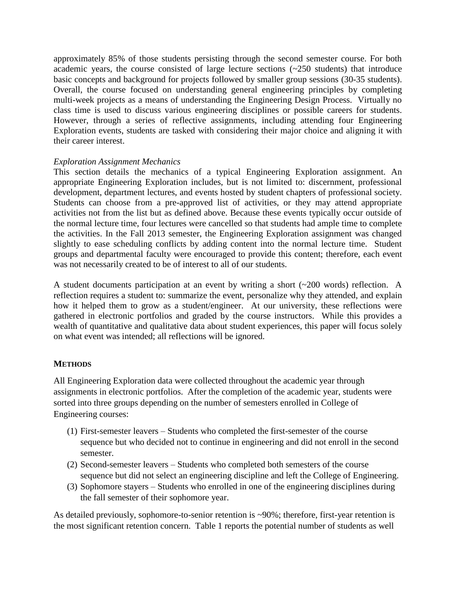approximately 85% of those students persisting through the second semester course. For both academic years, the course consisted of large lecture sections (~250 students) that introduce basic concepts and background for projects followed by smaller group sessions (30-35 students). Overall, the course focused on understanding general engineering principles by completing multi-week projects as a means of understanding the Engineering Design Process. Virtually no class time is used to discuss various engineering disciplines or possible careers for students. However, through a series of reflective assignments, including attending four Engineering Exploration events, students are tasked with considering their major choice and aligning it with their career interest.

## *Exploration Assignment Mechanics*

This section details the mechanics of a typical Engineering Exploration assignment. An appropriate Engineering Exploration includes, but is not limited to: discernment, professional development, department lectures, and events hosted by student chapters of professional society. Students can choose from a pre-approved list of activities, or they may attend appropriate activities not from the list but as defined above. Because these events typically occur outside of the normal lecture time, four lectures were cancelled so that students had ample time to complete the activities. In the Fall 2013 semester, the Engineering Exploration assignment was changed slightly to ease scheduling conflicts by adding content into the normal lecture time. Student groups and departmental faculty were encouraged to provide this content; therefore, each event was not necessarily created to be of interest to all of our students.

A student documents participation at an event by writing a short (~200 words) reflection. A reflection requires a student to: summarize the event, personalize why they attended, and explain how it helped them to grow as a student/engineer. At our university, these reflections were gathered in electronic portfolios and graded by the course instructors. While this provides a wealth of quantitative and qualitative data about student experiences, this paper will focus solely on what event was intended; all reflections will be ignored.

## **METHODS**

All Engineering Exploration data were collected throughout the academic year through assignments in electronic portfolios. After the completion of the academic year, students were sorted into three groups depending on the number of semesters enrolled in College of Engineering courses:

- (1) First-semester leavers Students who completed the first-semester of the course sequence but who decided not to continue in engineering and did not enroll in the second semester.
- (2) Second-semester leavers Students who completed both semesters of the course sequence but did not select an engineering discipline and left the College of Engineering.
- (3) Sophomore stayers Students who enrolled in one of the engineering disciplines during the fall semester of their sophomore year.

As detailed previously, sophomore-to-senior retention is ~90%; therefore, first-year retention is the most significant retention concern. Table 1 reports the potential number of students as well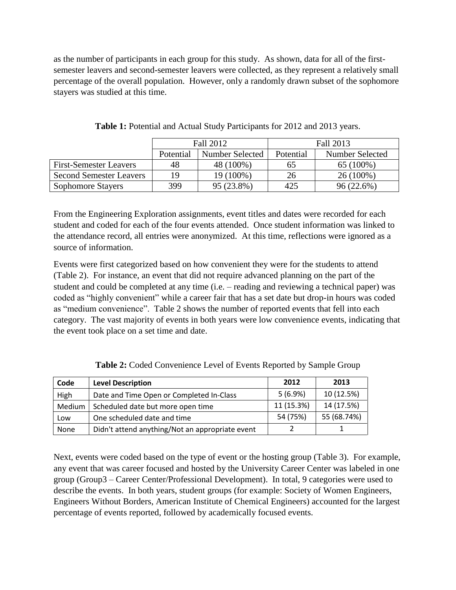as the number of participants in each group for this study. As shown, data for all of the firstsemester leavers and second-semester leavers were collected, as they represent a relatively small percentage of the overall population. However, only a randomly drawn subset of the sophomore stayers was studied at this time.

|                                | Fall 2012 |                 | Fall 2013 |                 |
|--------------------------------|-----------|-----------------|-----------|-----------------|
|                                | Potential | Number Selected | Potential | Number Selected |
| <b>First-Semester Leavers</b>  | 48        | 48 (100%)       | 65        | 65 (100%)       |
| <b>Second Semester Leavers</b> | 1 Q       | 19 (100%)       | 26        | 26 (100%)       |
| <b>Sophomore Stayers</b>       | 399       | 95 (23.8%)      | 425       | 96 (22.6%)      |

**Table 1:** Potential and Actual Study Participants for 2012 and 2013 years.

From the Engineering Exploration assignments, event titles and dates were recorded for each student and coded for each of the four events attended. Once student information was linked to the attendance record, all entries were anonymized. At this time, reflections were ignored as a source of information.

Events were first categorized based on how convenient they were for the students to attend (Table 2). For instance, an event that did not require advanced planning on the part of the student and could be completed at any time (i.e. – reading and reviewing a technical paper) was coded as "highly convenient" while a career fair that has a set date but drop-in hours was coded as "medium convenience". Table 2 shows the number of reported events that fell into each category. The vast majority of events in both years were low convenience events, indicating that the event took place on a set time and date.

| Code   | <b>Level Description</b>                        | 2012       | 2013        |
|--------|-------------------------------------------------|------------|-------------|
| High   | Date and Time Open or Completed In-Class        | 5(6.9%)    | 10 (12.5%)  |
| Medium | Scheduled date but more open time               | 11 (15.3%) | 14 (17.5%)  |
| Low    | One scheduled date and time                     | 54 (75%)   | 55 (68.74%) |
| None   | Didn't attend anything/Not an appropriate event |            |             |

**Table 2:** Coded Convenience Level of Events Reported by Sample Group

Next, events were coded based on the type of event or the hosting group (Table 3). For example, any event that was career focused and hosted by the University Career Center was labeled in one group (Group3 – Career Center/Professional Development). In total, 9 categories were used to describe the events. In both years, student groups (for example: Society of Women Engineers, Engineers Without Borders, American Institute of Chemical Engineers) accounted for the largest percentage of events reported, followed by academically focused events.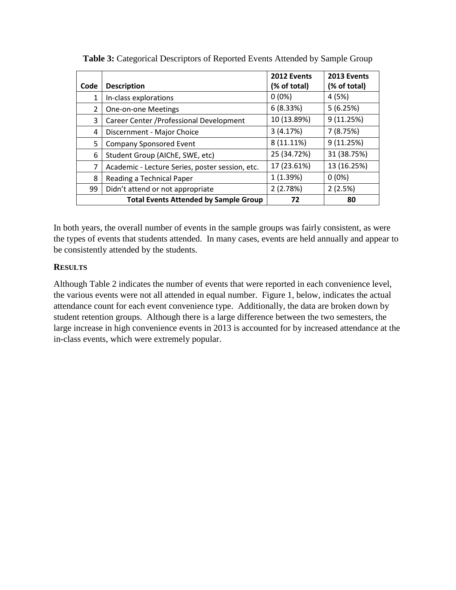|      |                                                 | 2012 Events  | 2013 Events  |
|------|-------------------------------------------------|--------------|--------------|
| Code | <b>Description</b>                              | (% of total) | (% of total) |
|      | In-class explorations                           | $0(0\%)$     | 4(5%)        |
| 2    | <b>One-on-one Meetings</b>                      | 6(8.33%)     | 5(6.25%)     |
| 3    | Career Center / Professional Development        | 10 (13.89%)  | 9(11.25%)    |
| 4    | Discernment - Major Choice                      | 3(4.17%)     | 7(8.75%)     |
| 5    | <b>Company Sponsored Event</b>                  | 8 (11.11%)   | 9(11.25%)    |
| 6    | Student Group (AIChE, SWE, etc)                 | 25 (34.72%)  | 31 (38.75%)  |
| 7    | Academic - Lecture Series, poster session, etc. | 17 (23.61%)  | 13 (16.25%)  |
| 8    | Reading a Technical Paper                       | 1(1.39%)     | $0(0\%)$     |
| 99   | Didn't attend or not appropriate                | 2(2.78%)     | 2(2.5%)      |
|      | <b>Total Events Attended by Sample Group</b>    | 72           | 80           |

**Table 3:** Categorical Descriptors of Reported Events Attended by Sample Group

In both years, the overall number of events in the sample groups was fairly consistent, as were the types of events that students attended. In many cases, events are held annually and appear to be consistently attended by the students.

## **RESULTS**

Although Table 2 indicates the number of events that were reported in each convenience level, the various events were not all attended in equal number. Figure 1, below, indicates the actual attendance count for each event convenience type. Additionally, the data are broken down by student retention groups. Although there is a large difference between the two semesters, the large increase in high convenience events in 2013 is accounted for by increased attendance at the in-class events, which were extremely popular.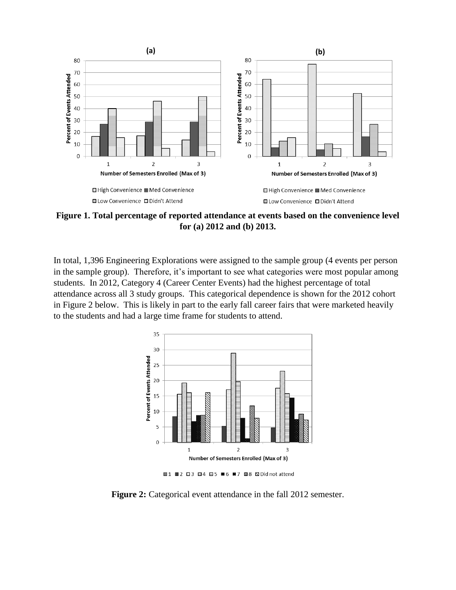

**Figure 1. Total percentage of reported attendance at events based on the convenience level for (a) 2012 and (b) 2013.**

In total, 1,396 Engineering Explorations were assigned to the sample group (4 events per person in the sample group). Therefore, it's important to see what categories were most popular among students. In 2012, Category 4 (Career Center Events) had the highest percentage of total attendance across all 3 study groups. This categorical dependence is shown for the 2012 cohort in Figure 2 below. This is likely in part to the early fall career fairs that were marketed heavily to the students and had a large time frame for students to attend.



**Figure 2:** Categorical event attendance in the fall 2012 semester.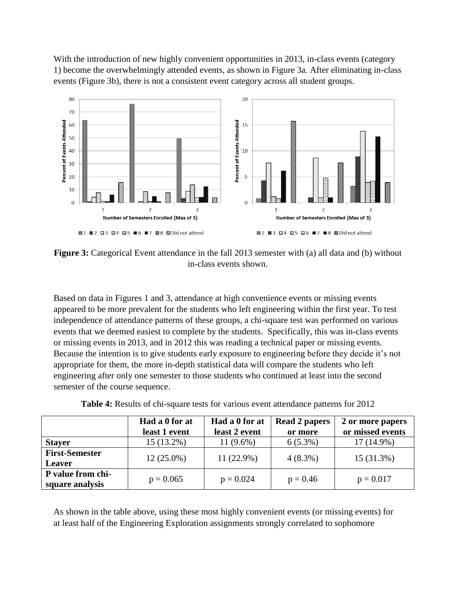With the introduction of new highly convenient opportunities in 2013, in-class events (category 1) become the overwhelmingly attended events, as shown in Figure 3a. After eliminating in-class events (Figure 3b), there is not a consistent event category across all student groups.



**Figure 3:** Categorical Event attendance in the fall 2013 semester with (a) all data and (b) without in-class events shown.

Based on data in Figures 1 and 3, attendance at high convenience events or missing events appeared to be more prevalent for the students who left engineering within the first year. To test independence of attendance patterns of these groups, a chi-square test was performed on various events that we deemed easiest to complete by the students. Specifically, this was in-class events or missing events in 2013, and in 2012 this was reading a technical paper or missing events. Because the intention is to give students early exposure to engineering before they decide it's not appropriate for them, the more in-depth statistical data will compare the students who left engineering after only one semester to those students who continued at least into the second semester of the course sequence.

| <b>Table 4:</b> Results of chi-square tests for various event attendance patterns for 2012 |
|--------------------------------------------------------------------------------------------|
|--------------------------------------------------------------------------------------------|

|                       | Had a 0 for at | Had a 0 for at | <b>Read 2 papers</b> | 2 or more papers |
|-----------------------|----------------|----------------|----------------------|------------------|
|                       | least 1 event  | least 2 event  | or more              | or missed events |
| <b>Stayer</b>         | $15(13.2\%)$   | 11 $(9.6\%)$   | $6(5.3\%)$           | $17(14.9\%)$     |
| <b>First-Semester</b> | $12(25.0\%)$   | 11 (22.9%)     | $4(8.3\%)$           | 15 (31.3%)       |
| Leaver                |                |                |                      |                  |
| P value from chi-     | $p = 0.065$    | $p = 0.024$    | $p = 0.46$           | $p = 0.017$      |
| square analysis       |                |                |                      |                  |

As shown in the table above, using these most highly convenient events (or missing events) for at least half of the Engineering Exploration assignments strongly correlated to sophomore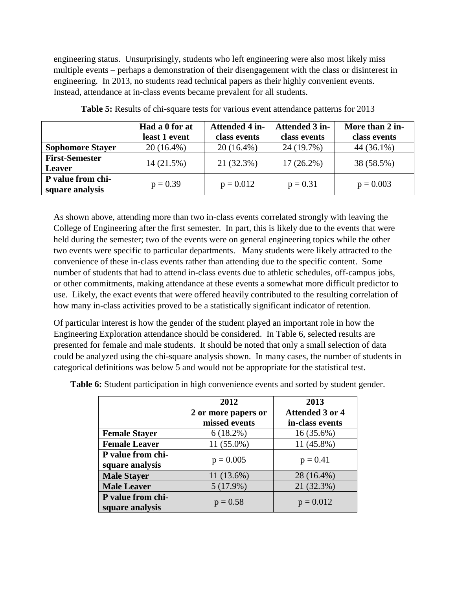engineering status. Unsurprisingly, students who left engineering were also most likely miss multiple events – perhaps a demonstration of their disengagement with the class or disinterest in engineering. In 2013, no students read technical papers as their highly convenient events. Instead, attendance at in-class events became prevalent for all students.

|                                        | Had a 0 for at<br>least 1 event | <b>Attended 4 in-</b><br>class events | Attended 3 in-<br>class events | More than 2 in-<br>class events |
|----------------------------------------|---------------------------------|---------------------------------------|--------------------------------|---------------------------------|
| <b>Sophomore Stayer</b>                | $20(16.4\%)$                    | $20(16.4\%)$                          | 24 (19.7%)                     | 44 (36.1%)                      |
| <b>First-Semester</b><br><b>Leaver</b> | 14 (21.5%)                      | 21 (32.3%)                            | $17(26.2\%)$                   | 38 (58.5%)                      |
| P value from chi-<br>square analysis   | $p = 0.39$                      | $p = 0.012$                           | $p = 0.31$                     | $p = 0.003$                     |

**Table 5:** Results of chi-square tests for various event attendance patterns for 2013

As shown above, attending more than two in-class events correlated strongly with leaving the College of Engineering after the first semester. In part, this is likely due to the events that were held during the semester; two of the events were on general engineering topics while the other two events were specific to particular departments. Many students were likely attracted to the convenience of these in-class events rather than attending due to the specific content. Some number of students that had to attend in-class events due to athletic schedules, off-campus jobs, or other commitments, making attendance at these events a somewhat more difficult predictor to use. Likely, the exact events that were offered heavily contributed to the resulting correlation of how many in-class activities proved to be a statistically significant indicator of retention.

Of particular interest is how the gender of the student played an important role in how the Engineering Exploration attendance should be considered. In Table 6, selected results are presented for female and male students. It should be noted that only a small selection of data could be analyzed using the chi-square analysis shown. In many cases, the number of students in categorical definitions was below 5 and would not be appropriate for the statistical test.

|                                      | 2012                | 2013                   |
|--------------------------------------|---------------------|------------------------|
|                                      | 2 or more papers or | <b>Attended 3 or 4</b> |
|                                      | missed events       | in-class events        |
| <b>Female Stayer</b>                 | $6(18.2\%)$         | 16 (35.6%)             |
| <b>Female Leaver</b>                 | $11(55.0\%)$        | 11 (45.8%)             |
| P value from chi-<br>square analysis | $p = 0.005$         | $p = 0.41$             |
| <b>Male Stayer</b>                   | 11 (13.6%)          | 28 (16.4%)             |
| <b>Male Leaver</b>                   | 5(17.9%)            | 21 (32.3%)             |
| P value from chi-<br>square analysis | $p = 0.58$          | $p = 0.012$            |

**Table 6:** Student participation in high convenience events and sorted by student gender.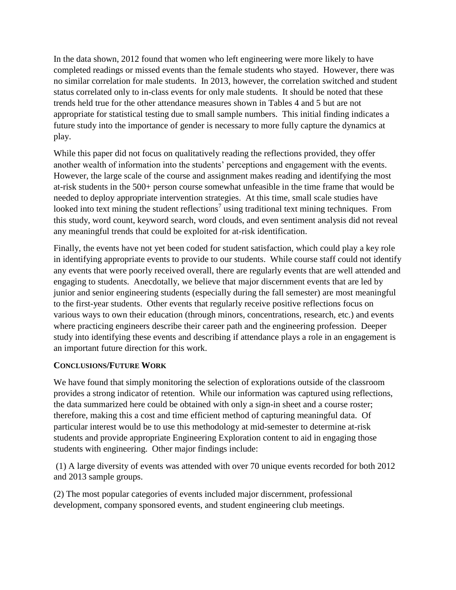In the data shown, 2012 found that women who left engineering were more likely to have completed readings or missed events than the female students who stayed. However, there was no similar correlation for male students. In 2013, however, the correlation switched and student status correlated only to in-class events for only male students. It should be noted that these trends held true for the other attendance measures shown in Tables 4 and 5 but are not appropriate for statistical testing due to small sample numbers. This initial finding indicates a future study into the importance of gender is necessary to more fully capture the dynamics at play.

While this paper did not focus on qualitatively reading the reflections provided, they offer another wealth of information into the students' perceptions and engagement with the events. However, the large scale of the course and assignment makes reading and identifying the most at-risk students in the 500+ person course somewhat unfeasible in the time frame that would be needed to deploy appropriate intervention strategies. At this time, small scale studies have looked into text mining the student reflections<sup>7</sup> using traditional text mining techniques. From this study, word count, keyword search, word clouds, and even sentiment analysis did not reveal any meaningful trends that could be exploited for at-risk identification.

Finally, the events have not yet been coded for student satisfaction, which could play a key role in identifying appropriate events to provide to our students. While course staff could not identify any events that were poorly received overall, there are regularly events that are well attended and engaging to students. Anecdotally, we believe that major discernment events that are led by junior and senior engineering students (especially during the fall semester) are most meaningful to the first-year students. Other events that regularly receive positive reflections focus on various ways to own their education (through minors, concentrations, research, etc.) and events where practicing engineers describe their career path and the engineering profession. Deeper study into identifying these events and describing if attendance plays a role in an engagement is an important future direction for this work.

## **CONCLUSIONS/FUTURE WORK**

We have found that simply monitoring the selection of explorations outside of the classroom provides a strong indicator of retention. While our information was captured using reflections, the data summarized here could be obtained with only a sign-in sheet and a course roster; therefore, making this a cost and time efficient method of capturing meaningful data. Of particular interest would be to use this methodology at mid-semester to determine at-risk students and provide appropriate Engineering Exploration content to aid in engaging those students with engineering. Other major findings include:

(1) A large diversity of events was attended with over 70 unique events recorded for both 2012 and 2013 sample groups.

(2) The most popular categories of events included major discernment, professional development, company sponsored events, and student engineering club meetings.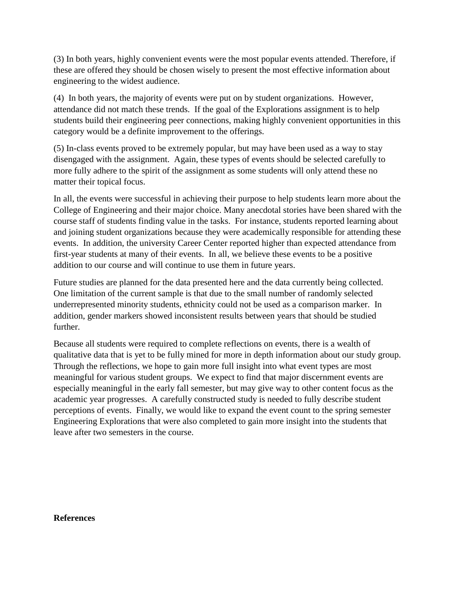(3) In both years, highly convenient events were the most popular events attended. Therefore, if these are offered they should be chosen wisely to present the most effective information about engineering to the widest audience.

(4) In both years, the majority of events were put on by student organizations. However, attendance did not match these trends. If the goal of the Explorations assignment is to help students build their engineering peer connections, making highly convenient opportunities in this category would be a definite improvement to the offerings.

(5) In-class events proved to be extremely popular, but may have been used as a way to stay disengaged with the assignment. Again, these types of events should be selected carefully to more fully adhere to the spirit of the assignment as some students will only attend these no matter their topical focus.

In all, the events were successful in achieving their purpose to help students learn more about the College of Engineering and their major choice. Many anecdotal stories have been shared with the course staff of students finding value in the tasks. For instance, students reported learning about and joining student organizations because they were academically responsible for attending these events. In addition, the university Career Center reported higher than expected attendance from first-year students at many of their events. In all, we believe these events to be a positive addition to our course and will continue to use them in future years.

Future studies are planned for the data presented here and the data currently being collected. One limitation of the current sample is that due to the small number of randomly selected underrepresented minority students, ethnicity could not be used as a comparison marker. In addition, gender markers showed inconsistent results between years that should be studied further.

Because all students were required to complete reflections on events, there is a wealth of qualitative data that is yet to be fully mined for more in depth information about our study group. Through the reflections, we hope to gain more full insight into what event types are most meaningful for various student groups. We expect to find that major discernment events are especially meaningful in the early fall semester, but may give way to other content focus as the academic year progresses. A carefully constructed study is needed to fully describe student perceptions of events. Finally, we would like to expand the event count to the spring semester Engineering Explorations that were also completed to gain more insight into the students that leave after two semesters in the course.

## **References**